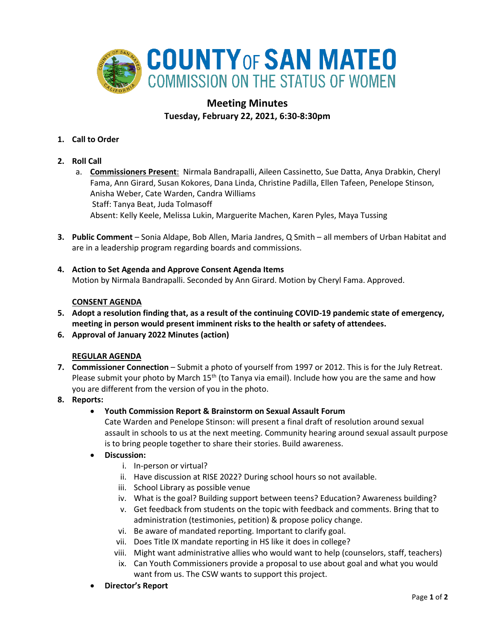

# **Meeting Minutes Tuesday, February 22, 2021, 6:30-8:30pm**

- **1. Call to Order**
- **2. Roll Call**
	- a. **Commissioners Present**: Nirmala Bandrapalli, Aileen Cassinetto, Sue Datta, Anya Drabkin, Cheryl Fama, Ann Girard, Susan Kokores, Dana Linda, Christine Padilla, Ellen Tafeen, Penelope Stinson, Anisha Weber, Cate Warden, Candra Williams Staff: Tanya Beat, Juda Tolmasoff Absent: Kelly Keele, Melissa Lukin, Marguerite Machen, Karen Pyles, Maya Tussing
- **3. Public Comment** Sonia Aldape, Bob Allen, Maria Jandres, Q Smith all members of Urban Habitat and are in a leadership program regarding boards and commissions.
- **4. Action to Set Agenda and Approve Consent Agenda Items** Motion by Nirmala Bandrapalli. Seconded by Ann Girard. Motion by Cheryl Fama. Approved.

# **CONSENT AGENDA**

- **5. Adopt a resolution finding that, as a result of the continuing COVID-19 pandemic state of emergency, meeting in person would present imminent risks to the health or safety of attendees.**
- **6. Approval of January 2022 Minutes (action)**

## **REGULAR AGENDA**

- **7. Commissioner Connection** Submit a photo of yourself from 1997 or 2012. This is for the July Retreat. Please submit your photo by March  $15<sup>th</sup>$  (to Tanya via email). Include how you are the same and how you are different from the version of you in the photo.
- **8. Reports:**
	- **Youth Commission Report & Brainstorm on Sexual Assault Forum**

Cate Warden and Penelope Stinson: will present a final draft of resolution around sexual assault in schools to us at the next meeting. Community hearing around sexual assault purpose is to bring people together to share their stories. Build awareness.

- **Discussion:** 
	- i. In-person or virtual?
	- ii. Have discussion at RISE 2022? During school hours so not available.
	- iii. School Library as possible venue
	- iv. What is the goal? Building support between teens? Education? Awareness building?
	- v. Get feedback from students on the topic with feedback and comments. Bring that to administration (testimonies, petition) & propose policy change.
	- vi. Be aware of mandated reporting. Important to clarify goal.
	- vii. Does Title IX mandate reporting in HS like it does in college?
	- viii. Might want administrative allies who would want to help (counselors, staff, teachers)
	- ix. Can Youth Commissioners provide a proposal to use about goal and what you would want from us. The CSW wants to support this project.
- **Director's Report**